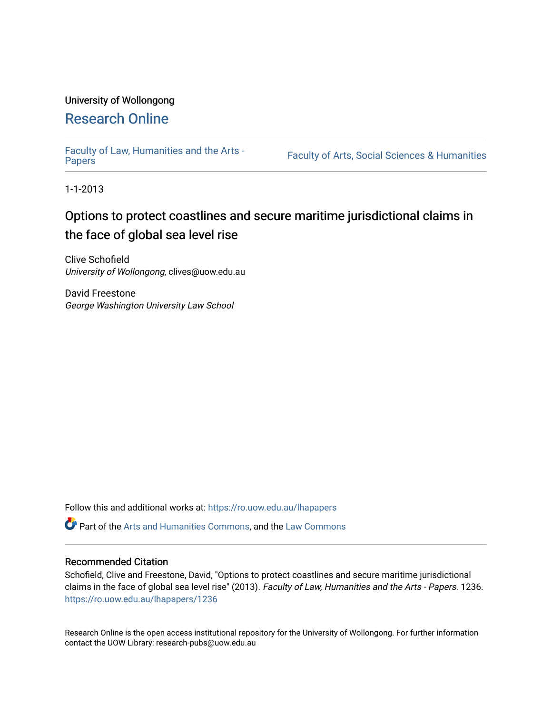# University of Wollongong

## [Research Online](https://ro.uow.edu.au/)

[Faculty of Law, Humanities and the Arts -](https://ro.uow.edu.au/lhapapers)

Faculty of Arts, Social Sciences & Humanities

1-1-2013

## Options to protect coastlines and secure maritime jurisdictional claims in the face of global sea level rise

Clive Schofield University of Wollongong, clives@uow.edu.au

David Freestone George Washington University Law School

Follow this and additional works at: [https://ro.uow.edu.au/lhapapers](https://ro.uow.edu.au/lhapapers?utm_source=ro.uow.edu.au%2Flhapapers%2F1236&utm_medium=PDF&utm_campaign=PDFCoverPages) 

Part of the [Arts and Humanities Commons,](http://network.bepress.com/hgg/discipline/438?utm_source=ro.uow.edu.au%2Flhapapers%2F1236&utm_medium=PDF&utm_campaign=PDFCoverPages) and the [Law Commons](http://network.bepress.com/hgg/discipline/578?utm_source=ro.uow.edu.au%2Flhapapers%2F1236&utm_medium=PDF&utm_campaign=PDFCoverPages) 

### Recommended Citation

Schofield, Clive and Freestone, David, "Options to protect coastlines and secure maritime jurisdictional claims in the face of global sea level rise" (2013). Faculty of Law, Humanities and the Arts - Papers. 1236. [https://ro.uow.edu.au/lhapapers/1236](https://ro.uow.edu.au/lhapapers/1236?utm_source=ro.uow.edu.au%2Flhapapers%2F1236&utm_medium=PDF&utm_campaign=PDFCoverPages)

Research Online is the open access institutional repository for the University of Wollongong. For further information contact the UOW Library: research-pubs@uow.edu.au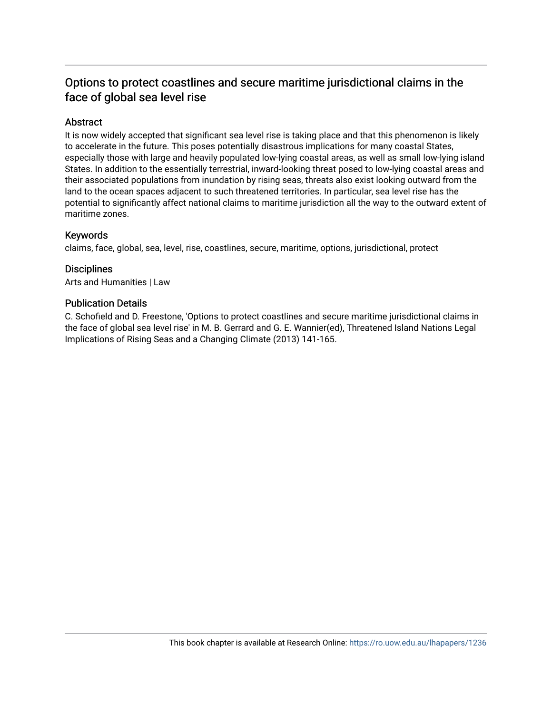## Options to protect coastlines and secure maritime jurisdictional claims in the face of global sea level rise

## Abstract

It is now widely accepted that significant sea level rise is taking place and that this phenomenon is likely to accelerate in the future. This poses potentially disastrous implications for many coastal States, especially those with large and heavily populated low-lying coastal areas, as well as small low-lying island States. In addition to the essentially terrestrial, inward-looking threat posed to low-lying coastal areas and their associated populations from inundation by rising seas, threats also exist looking outward from the land to the ocean spaces adjacent to such threatened territories. In particular, sea level rise has the potential to significantly affect national claims to maritime jurisdiction all the way to the outward extent of maritime zones.

## Keywords

claims, face, global, sea, level, rise, coastlines, secure, maritime, options, jurisdictional, protect

## **Disciplines**

Arts and Humanities | Law

### Publication Details

C. Schofield and D. Freestone, 'Options to protect coastlines and secure maritime jurisdictional claims in the face of global sea level rise' in M. B. Gerrard and G. E. Wannier(ed), Threatened Island Nations Legal Implications of Rising Seas and a Changing Climate (2013) 141-165.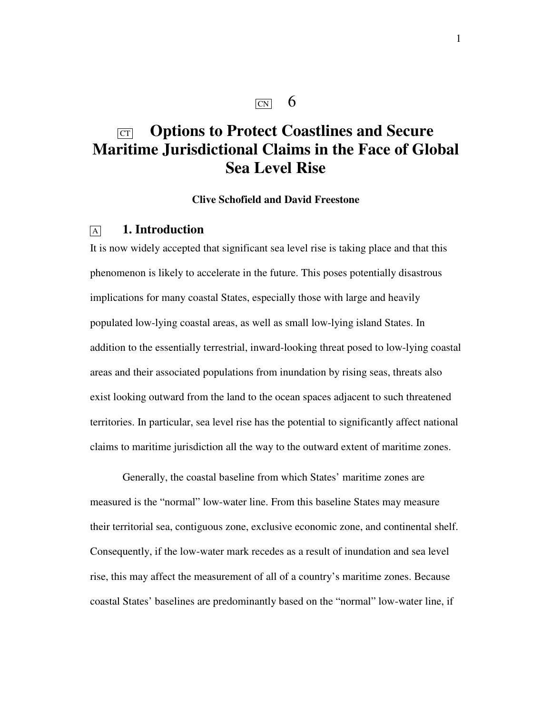## $\overline{CN}$  6

## CT **Options to Protect Coastlines and Secure Maritime Jurisdictional Claims in the Face of Global Sea Level Rise**

## **Clive Schofield and David Freestone**

## <sup>A</sup>**1. Introduction**

It is now widely accepted that significant sea level rise is taking place and that this phenomenon is likely to accelerate in the future. This poses potentially disastrous implications for many coastal States, especially those with large and heavily populated low-lying coastal areas, as well as small low-lying island States. In addition to the essentially terrestrial, inward-looking threat posed to low-lying coastal areas and their associated populations from inundation by rising seas, threats also exist looking outward from the land to the ocean spaces adjacent to such threatened territories. In particular, sea level rise has the potential to significantly affect national claims to maritime jurisdiction all the way to the outward extent of maritime zones.

Generally, the coastal baseline from which States' maritime zones are measured is the "normal" low-water line. From this baseline States may measure their territorial sea, contiguous zone, exclusive economic zone, and continental shelf. Consequently, if the low-water mark recedes as a result of inundation and sea level rise, this may affect the measurement of all of a country's maritime zones. Because coastal States' baselines are predominantly based on the "normal" low-water line, if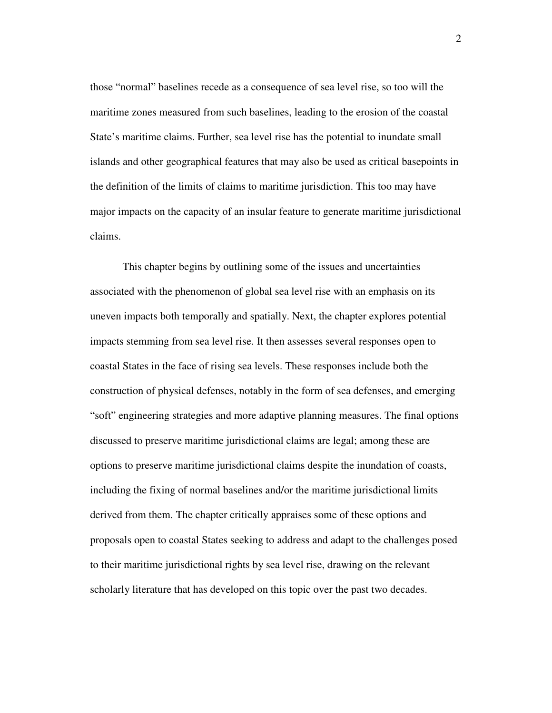those "normal" baselines recede as a consequence of sea level rise, so too will the maritime zones measured from such baselines, leading to the erosion of the coastal State's maritime claims. Further, sea level rise has the potential to inundate small islands and other geographical features that may also be used as critical basepoints in the definition of the limits of claims to maritime jurisdiction. This too may have major impacts on the capacity of an insular feature to generate maritime jurisdictional claims.

This chapter begins by outlining some of the issues and uncertainties associated with the phenomenon of global sea level rise with an emphasis on its uneven impacts both temporally and spatially. Next, the chapter explores potential impacts stemming from sea level rise. It then assesses several responses open to coastal States in the face of rising sea levels. These responses include both the construction of physical defenses, notably in the form of sea defenses, and emerging "soft" engineering strategies and more adaptive planning measures. The final options discussed to preserve maritime jurisdictional claims are legal; among these are options to preserve maritime jurisdictional claims despite the inundation of coasts, including the fixing of normal baselines and/or the maritime jurisdictional limits derived from them. The chapter critically appraises some of these options and proposals open to coastal States seeking to address and adapt to the challenges posed to their maritime jurisdictional rights by sea level rise, drawing on the relevant scholarly literature that has developed on this topic over the past two decades.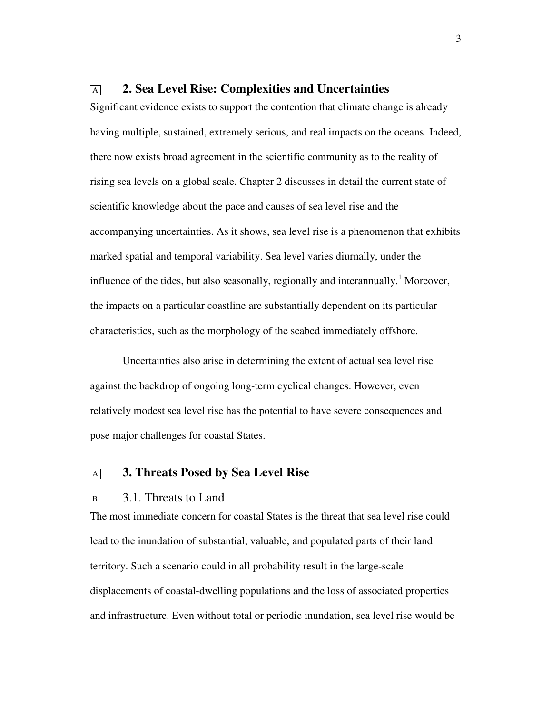## <sup>A</sup>**2. Sea Level Rise: Complexities and Uncertainties**

Significant evidence exists to support the contention that climate change is already having multiple, sustained, extremely serious, and real impacts on the oceans. Indeed, there now exists broad agreement in the scientific community as to the reality of rising sea levels on a global scale. Chapter 2 discusses in detail the current state of scientific knowledge about the pace and causes of sea level rise and the accompanying uncertainties. As it shows, sea level rise is a phenomenon that exhibits marked spatial and temporal variability. Sea level varies diurnally, under the influence of the tides, but also seasonally, regionally and interannually.<sup>1</sup> Moreover, the impacts on a particular coastline are substantially dependent on its particular characteristics, such as the morphology of the seabed immediately offshore.

Uncertainties also arise in determining the extent of actual sea level rise against the backdrop of ongoing long-term cyclical changes. However, even relatively modest sea level rise has the potential to have severe consequences and pose major challenges for coastal States.

## <sup>A</sup>**3. Threats Posed by Sea Level Rise**

### B 3.1. Threats to Land

The most immediate concern for coastal States is the threat that sea level rise could lead to the inundation of substantial, valuable, and populated parts of their land territory. Such a scenario could in all probability result in the large-scale displacements of coastal-dwelling populations and the loss of associated properties and infrastructure. Even without total or periodic inundation, sea level rise would be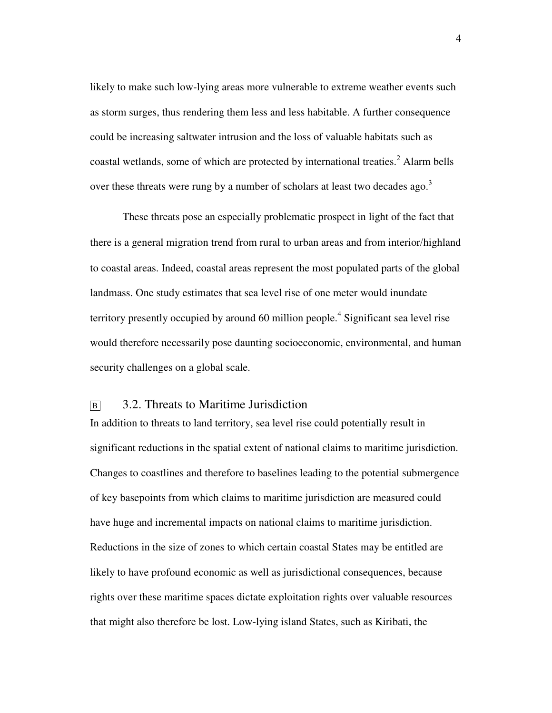likely to make such low-lying areas more vulnerable to extreme weather events such as storm surges, thus rendering them less and less habitable. A further consequence could be increasing saltwater intrusion and the loss of valuable habitats such as coastal wetlands, some of which are protected by international treaties. $^{2}$  Alarm bells over these threats were rung by a number of scholars at least two decades ago.<sup>3</sup>

These threats pose an especially problematic prospect in light of the fact that there is a general migration trend from rural to urban areas and from interior/highland to coastal areas. Indeed, coastal areas represent the most populated parts of the global landmass. One study estimates that sea level rise of one meter would inundate territory presently occupied by around 60 million people.<sup>4</sup> Significant sea level rise would therefore necessarily pose daunting socioeconomic, environmental, and human security challenges on a global scale.

## B 3.2. Threats to Maritime Jurisdiction

In addition to threats to land territory, sea level rise could potentially result in significant reductions in the spatial extent of national claims to maritime jurisdiction. Changes to coastlines and therefore to baselines leading to the potential submergence of key basepoints from which claims to maritime jurisdiction are measured could have huge and incremental impacts on national claims to maritime jurisdiction. Reductions in the size of zones to which certain coastal States may be entitled are likely to have profound economic as well as jurisdictional consequences, because rights over these maritime spaces dictate exploitation rights over valuable resources that might also therefore be lost. Low-lying island States, such as Kiribati, the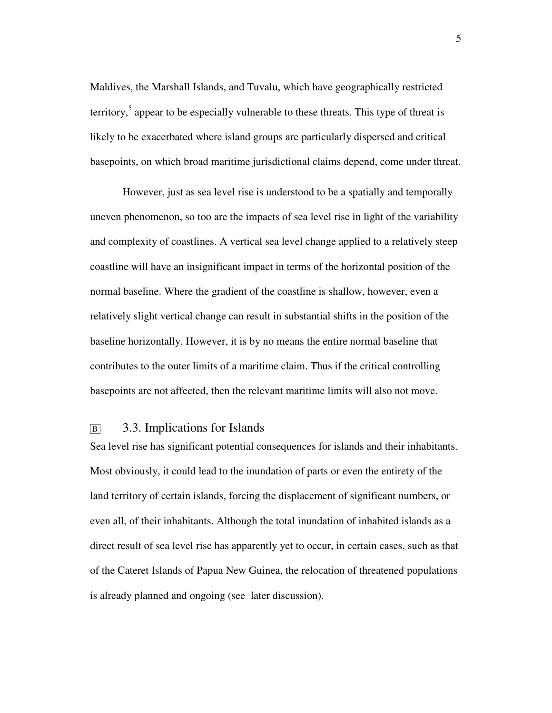Maldives, the Marshall Islands, and Tuvalu, which have geographically restricted territory,<sup>5</sup> appear to be especially vulnerable to these threats. This type of threat is likely to be exacerbated where island groups are particularly dispersed and critical basepoints, on which broad maritime jurisdictional claims depend, come under threat.

However, just as sea level rise is understood to be a spatially and temporally uneven phenomenon, so too are the impacts of sea level rise in light of the variability and complexity of coastlines. A vertical sea level change applied to a relatively steep coastline will have an insignificant impact in terms of the horizontal position of the normal baseline. Where the gradient of the coastline is shallow, however, even a relatively slight vertical change can result in substantial shifts in the position of the baseline horizontally. However, it is by no means the entire normal baseline that contributes to the outer limits of a maritime claim. Thus if the critical controlling basepoints are not affected, then the relevant maritime limits will also not move.

## B 3.3. Implications for Islands

Sea level rise has significant potential consequences for islands and their inhabitants. Most obviously, it could lead to the inundation of parts or even the entirety of the land territory of certain islands, forcing the displacement of significant numbers, or even all, of their inhabitants. Although the total inundation of inhabited islands as a direct result of sea level rise has apparently yet to occur, in certain cases, such as that of the Cateret Islands of Papua New Guinea, the relocation of threatened populations is already planned and ongoing (see later discussion).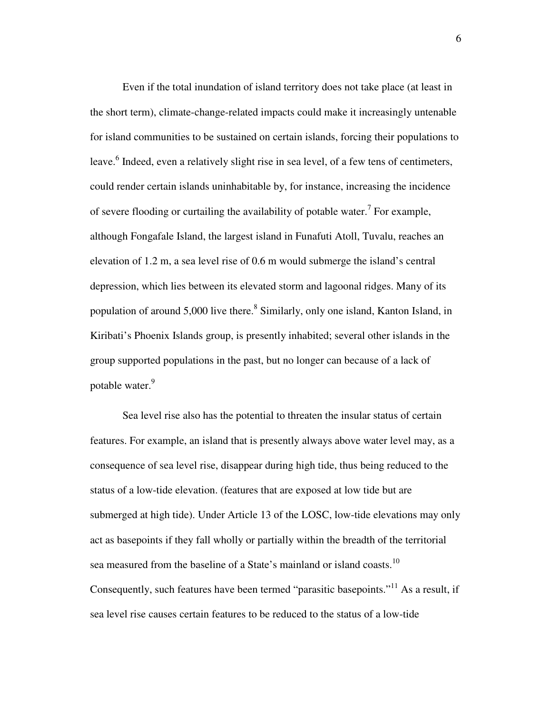Even if the total inundation of island territory does not take place (at least in the short term), climate-change-related impacts could make it increasingly untenable for island communities to be sustained on certain islands, forcing their populations to leave.<sup>6</sup> Indeed, even a relatively slight rise in sea level, of a few tens of centimeters, could render certain islands uninhabitable by, for instance, increasing the incidence of severe flooding or curtailing the availability of potable water.<sup>7</sup> For example, although Fongafale Island, the largest island in Funafuti Atoll, Tuvalu, reaches an elevation of 1.2 m, a sea level rise of 0.6 m would submerge the island's central depression, which lies between its elevated storm and lagoonal ridges. Many of its population of around 5,000 live there.<sup>8</sup> Similarly, only one island, Kanton Island, in Kiribati's Phoenix Islands group, is presently inhabited; several other islands in the group supported populations in the past, but no longer can because of a lack of potable water.<sup>9</sup>

Sea level rise also has the potential to threaten the insular status of certain features. For example, an island that is presently always above water level may, as a consequence of sea level rise, disappear during high tide, thus being reduced to the status of a low-tide elevation. (features that are exposed at low tide but are submerged at high tide). Under Article 13 of the LOSC, low-tide elevations may only act as basepoints if they fall wholly or partially within the breadth of the territorial sea measured from the baseline of a State's mainland or island coasts.<sup>10</sup> Consequently, such features have been termed "parasitic basepoints."<sup>11</sup> As a result, if sea level rise causes certain features to be reduced to the status of a low-tide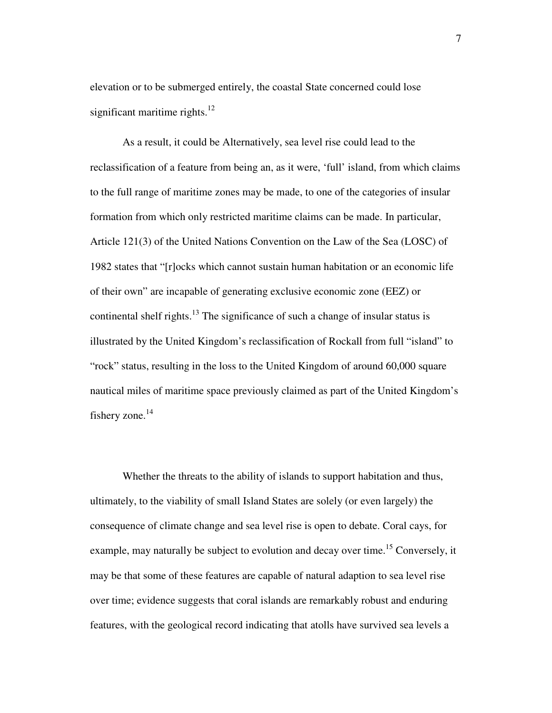elevation or to be submerged entirely, the coastal State concerned could lose significant maritime rights. $12$ 

As a result, it could be Alternatively, sea level rise could lead to the reclassification of a feature from being an, as it were, 'full' island, from which claims to the full range of maritime zones may be made, to one of the categories of insular formation from which only restricted maritime claims can be made. In particular, Article 121(3) of the United Nations Convention on the Law of the Sea (LOSC) of 1982 states that "[r]ocks which cannot sustain human habitation or an economic life of their own" are incapable of generating exclusive economic zone (EEZ) or continental shelf rights.<sup>13</sup> The significance of such a change of insular status is illustrated by the United Kingdom's reclassification of Rockall from full "island" to "rock" status, resulting in the loss to the United Kingdom of around 60,000 square nautical miles of maritime space previously claimed as part of the United Kingdom's fishery zone. $^{14}$ 

Whether the threats to the ability of islands to support habitation and thus, ultimately, to the viability of small Island States are solely (or even largely) the consequence of climate change and sea level rise is open to debate. Coral cays, for example, may naturally be subject to evolution and decay over time.<sup>15</sup> Conversely, it may be that some of these features are capable of natural adaption to sea level rise over time; evidence suggests that coral islands are remarkably robust and enduring features, with the geological record indicating that atolls have survived sea levels a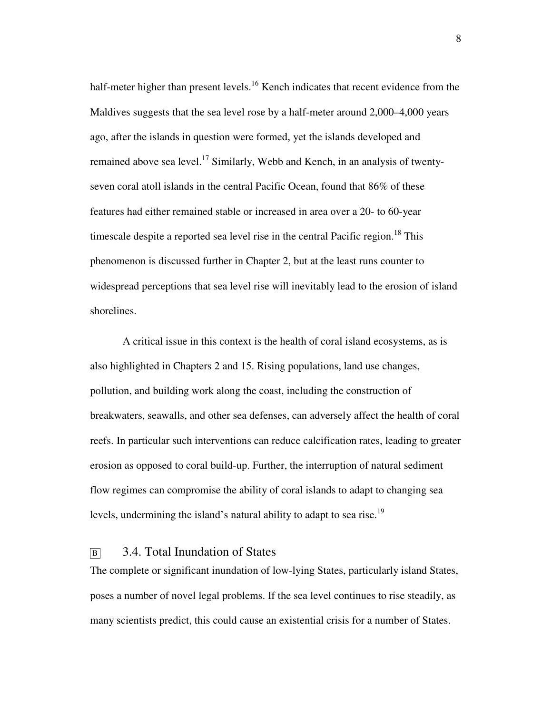half-meter higher than present levels.<sup>16</sup> Kench indicates that recent evidence from the Maldives suggests that the sea level rose by a half-meter around 2,000–4,000 years ago, after the islands in question were formed, yet the islands developed and remained above sea level.<sup>17</sup> Similarly, Webb and Kench, in an analysis of twentyseven coral atoll islands in the central Pacific Ocean, found that 86% of these features had either remained stable or increased in area over a 20- to 60-year timescale despite a reported sea level rise in the central Pacific region.<sup>18</sup> This phenomenon is discussed further in Chapter 2, but at the least runs counter to widespread perceptions that sea level rise will inevitably lead to the erosion of island shorelines.

A critical issue in this context is the health of coral island ecosystems, as is also highlighted in Chapters 2 and 15. Rising populations, land use changes, pollution, and building work along the coast, including the construction of breakwaters, seawalls, and other sea defenses, can adversely affect the health of coral reefs. In particular such interventions can reduce calcification rates, leading to greater erosion as opposed to coral build-up. Further, the interruption of natural sediment flow regimes can compromise the ability of coral islands to adapt to changing sea levels, undermining the island's natural ability to adapt to sea rise.<sup>19</sup>

## B 3.4. Total Inundation of States

The complete or significant inundation of low-lying States, particularly island States, poses a number of novel legal problems. If the sea level continues to rise steadily, as many scientists predict, this could cause an existential crisis for a number of States.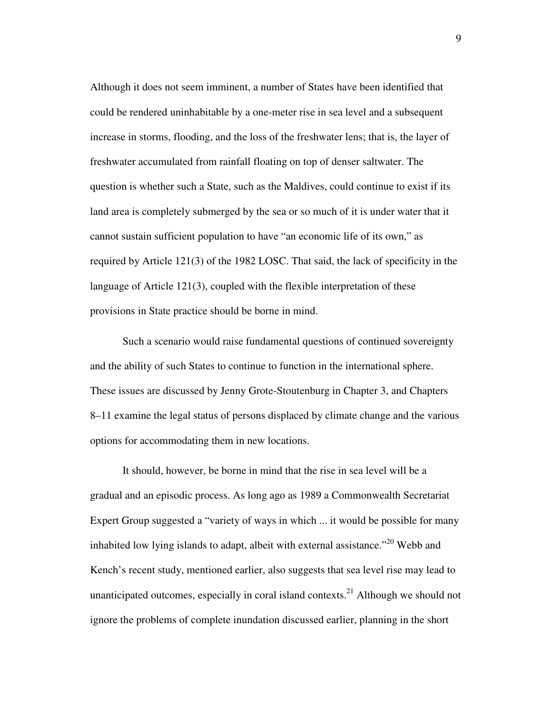Although it does not seem imminent, a number of States have been identified that could be rendered uninhabitable by a one-meter rise in sea level and a subsequent increase in storms, flooding, and the loss of the freshwater lens; that is, the layer of freshwater accumulated from rainfall floating on top of denser saltwater. The question is whether such a State, such as the Maldives, could continue to exist if its land area is completely submerged by the sea or so much of it is under water that it cannot sustain sufficient population to have "an economic life of its own," as required by Article 121(3) of the 1982 LOSC. That said, the lack of specificity in the language of Article 121(3), coupled with the flexible interpretation of these provisions in State practice should be borne in mind.

Such a scenario would raise fundamental questions of continued sovereignty and the ability of such States to continue to function in the international sphere. These issues are discussed by Jenny Grote-Stoutenburg in Chapter 3, and Chapters 8–11 examine the legal status of persons displaced by climate change and the various options for accommodating them in new locations.

It should, however, be borne in mind that the rise in sea level will be a gradual and an episodic process. As long ago as 1989 a Commonwealth Secretariat Expert Group suggested a "variety of ways in which ... it would be possible for many inhabited low lying islands to adapt, albeit with external assistance."<sup>20</sup> Webb and Kench's recent study, mentioned earlier, also suggests that sea level rise may lead to unanticipated outcomes, especially in coral island contexts.<sup>21</sup> Although we should not ignore the problems of complete inundation discussed earlier, planning in the short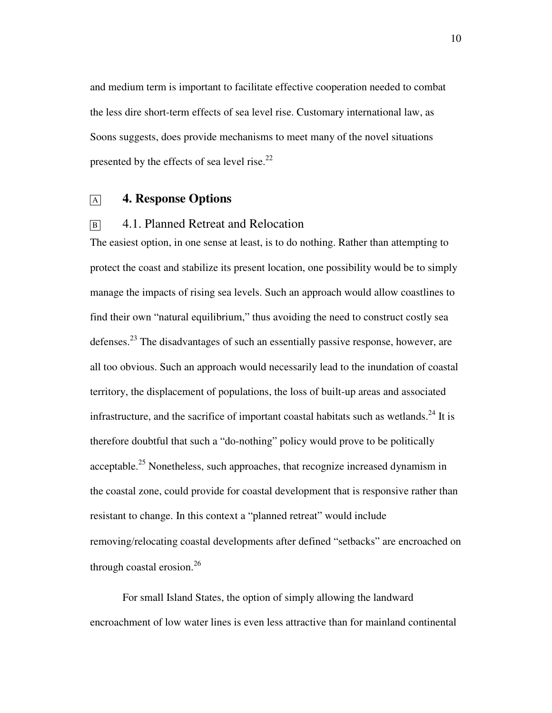and medium term is important to facilitate effective cooperation needed to combat the less dire short-term effects of sea level rise. Customary international law, as Soons suggests, does provide mechanisms to meet many of the novel situations presented by the effects of sea level rise.<sup>22</sup>

## <sup>A</sup>**4. Response Options**

## B<sub>1</sub> 4.1. Planned Retreat and Relocation

The easiest option, in one sense at least, is to do nothing. Rather than attempting to protect the coast and stabilize its present location, one possibility would be to simply manage the impacts of rising sea levels. Such an approach would allow coastlines to find their own "natural equilibrium," thus avoiding the need to construct costly sea defenses.<sup>23</sup> The disadvantages of such an essentially passive response, however, are all too obvious. Such an approach would necessarily lead to the inundation of coastal territory, the displacement of populations, the loss of built-up areas and associated infrastructure, and the sacrifice of important coastal habitats such as wetlands.<sup>24</sup> It is therefore doubtful that such a "do-nothing" policy would prove to be politically acceptable.<sup>25</sup> Nonetheless, such approaches, that recognize increased dynamism in the coastal zone, could provide for coastal development that is responsive rather than resistant to change. In this context a "planned retreat" would include removing/relocating coastal developments after defined "setbacks" are encroached on through coastal erosion. $^{26}$ 

For small Island States, the option of simply allowing the landward encroachment of low water lines is even less attractive than for mainland continental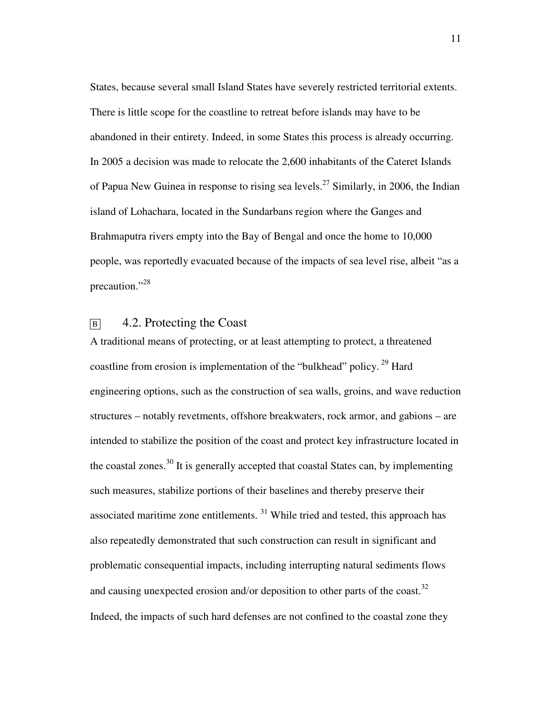States, because several small Island States have severely restricted territorial extents. There is little scope for the coastline to retreat before islands may have to be abandoned in their entirety. Indeed, in some States this process is already occurring. In 2005 a decision was made to relocate the 2,600 inhabitants of the Cateret Islands of Papua New Guinea in response to rising sea levels.<sup>27</sup> Similarly, in 2006, the Indian island of Lohachara, located in the Sundarbans region where the Ganges and Brahmaputra rivers empty into the Bay of Bengal and once the home to 10,000 people, was reportedly evacuated because of the impacts of sea level rise, albeit "as a precaution."<sup>28</sup>

## $\boxed{B}$  4.2. Protecting the Coast

A traditional means of protecting, or at least attempting to protect, a threatened coastline from erosion is implementation of the "bulkhead" policy.<sup>29</sup> Hard engineering options, such as the construction of sea walls, groins, and wave reduction structures – notably revetments, offshore breakwaters, rock armor, and gabions – are intended to stabilize the position of the coast and protect key infrastructure located in the coastal zones.<sup>30</sup> It is generally accepted that coastal States can, by implementing such measures, stabilize portions of their baselines and thereby preserve their associated maritime zone entitlements. <sup>31</sup> While tried and tested, this approach has also repeatedly demonstrated that such construction can result in significant and problematic consequential impacts, including interrupting natural sediments flows and causing unexpected erosion and/or deposition to other parts of the coast.<sup>32</sup> Indeed, the impacts of such hard defenses are not confined to the coastal zone they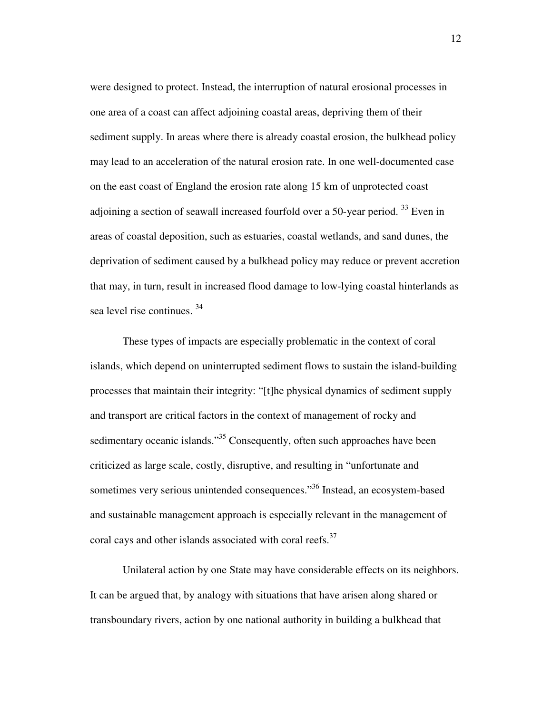were designed to protect. Instead, the interruption of natural erosional processes in one area of a coast can affect adjoining coastal areas, depriving them of their sediment supply. In areas where there is already coastal erosion, the bulkhead policy may lead to an acceleration of the natural erosion rate. In one well-documented case on the east coast of England the erosion rate along 15 km of unprotected coast adjoining a section of seawall increased fourfold over a 50-year period.  $33$  Even in areas of coastal deposition, such as estuaries, coastal wetlands, and sand dunes, the deprivation of sediment caused by a bulkhead policy may reduce or prevent accretion that may, in turn, result in increased flood damage to low-lying coastal hinterlands as sea level rise continues. <sup>34</sup>

These types of impacts are especially problematic in the context of coral islands, which depend on uninterrupted sediment flows to sustain the island-building processes that maintain their integrity: "[t]he physical dynamics of sediment supply and transport are critical factors in the context of management of rocky and sedimentary oceanic islands."<sup>35</sup> Consequently, often such approaches have been criticized as large scale, costly, disruptive, and resulting in "unfortunate and sometimes very serious unintended consequences."<sup>36</sup> Instead, an ecosystem-based and sustainable management approach is especially relevant in the management of coral cays and other islands associated with coral reefs.<sup>37</sup>

Unilateral action by one State may have considerable effects on its neighbors. It can be argued that, by analogy with situations that have arisen along shared or transboundary rivers, action by one national authority in building a bulkhead that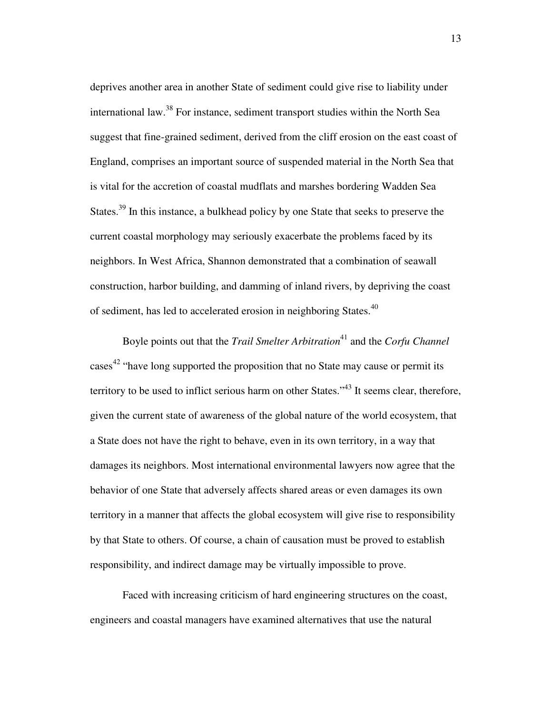deprives another area in another State of sediment could give rise to liability under international law.<sup>38</sup> For instance, sediment transport studies within the North Sea suggest that fine-grained sediment, derived from the cliff erosion on the east coast of England, comprises an important source of suspended material in the North Sea that is vital for the accretion of coastal mudflats and marshes bordering Wadden Sea States.<sup>39</sup> In this instance, a bulkhead policy by one State that seeks to preserve the current coastal morphology may seriously exacerbate the problems faced by its neighbors. In West Africa, Shannon demonstrated that a combination of seawall construction, harbor building, and damming of inland rivers, by depriving the coast of sediment, has led to accelerated erosion in neighboring States.<sup>40</sup>

Boyle points out that the *Trail Smelter Arbitration*<sup>41</sup> and the *Corfu Channel* cases<sup>42</sup> "have long supported the proposition that no State may cause or permit its territory to be used to inflict serious harm on other States."<sup>43</sup> It seems clear, therefore, given the current state of awareness of the global nature of the world ecosystem, that a State does not have the right to behave, even in its own territory, in a way that damages its neighbors. Most international environmental lawyers now agree that the behavior of one State that adversely affects shared areas or even damages its own territory in a manner that affects the global ecosystem will give rise to responsibility by that State to others. Of course, a chain of causation must be proved to establish responsibility, and indirect damage may be virtually impossible to prove.

Faced with increasing criticism of hard engineering structures on the coast, engineers and coastal managers have examined alternatives that use the natural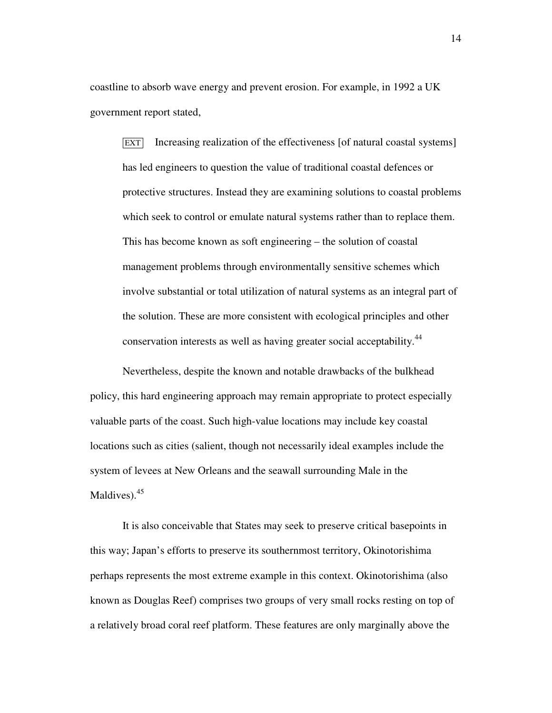coastline to absorb wave energy and prevent erosion. For example, in 1992 a UK government report stated,

EXT Increasing realization of the effectiveness [of natural coastal systems] has led engineers to question the value of traditional coastal defences or protective structures. Instead they are examining solutions to coastal problems which seek to control or emulate natural systems rather than to replace them. This has become known as soft engineering – the solution of coastal management problems through environmentally sensitive schemes which involve substantial or total utilization of natural systems as an integral part of the solution. These are more consistent with ecological principles and other conservation interests as well as having greater social acceptability.<sup>44</sup>

Nevertheless, despite the known and notable drawbacks of the bulkhead policy, this hard engineering approach may remain appropriate to protect especially valuable parts of the coast. Such high-value locations may include key coastal locations such as cities (salient, though not necessarily ideal examples include the system of levees at New Orleans and the seawall surrounding Male in the Maldives).<sup>45</sup>

It is also conceivable that States may seek to preserve critical basepoints in this way; Japan's efforts to preserve its southernmost territory, Okinotorishima perhaps represents the most extreme example in this context. Okinotorishima (also known as Douglas Reef) comprises two groups of very small rocks resting on top of a relatively broad coral reef platform. These features are only marginally above the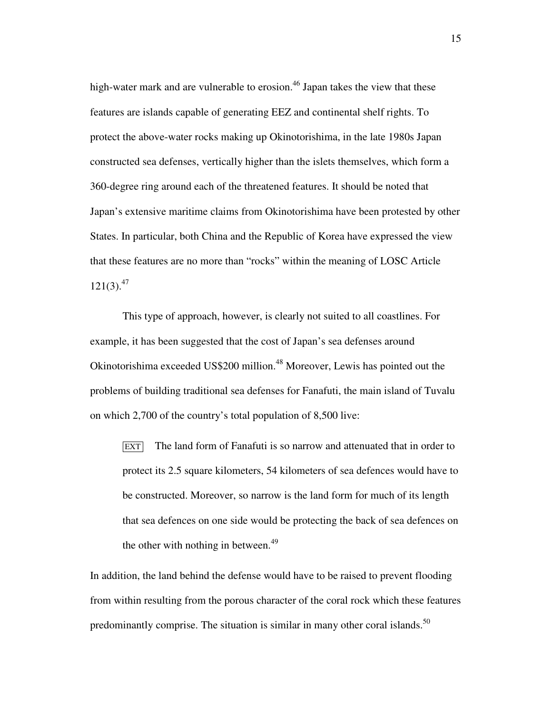high-water mark and are vulnerable to erosion.<sup>46</sup> Japan takes the view that these features are islands capable of generating EEZ and continental shelf rights. To protect the above-water rocks making up Okinotorishima, in the late 1980s Japan constructed sea defenses, vertically higher than the islets themselves, which form a 360-degree ring around each of the threatened features. It should be noted that Japan's extensive maritime claims from Okinotorishima have been protested by other States. In particular, both China and the Republic of Korea have expressed the view that these features are no more than "rocks" within the meaning of LOSC Article  $121(3).^{47}$ 

This type of approach, however, is clearly not suited to all coastlines. For example, it has been suggested that the cost of Japan's sea defenses around Okinotorishima exceeded US\$200 million.<sup>48</sup> Moreover, Lewis has pointed out the problems of building traditional sea defenses for Fanafuti, the main island of Tuvalu on which 2,700 of the country's total population of 8,500 live:

EXT The land form of Fanafuti is so narrow and attenuated that in order to protect its 2.5 square kilometers, 54 kilometers of sea defences would have to be constructed. Moreover, so narrow is the land form for much of its length that sea defences on one side would be protecting the back of sea defences on the other with nothing in between.<sup>49</sup>

In addition, the land behind the defense would have to be raised to prevent flooding from within resulting from the porous character of the coral rock which these features predominantly comprise. The situation is similar in many other coral islands.<sup>50</sup>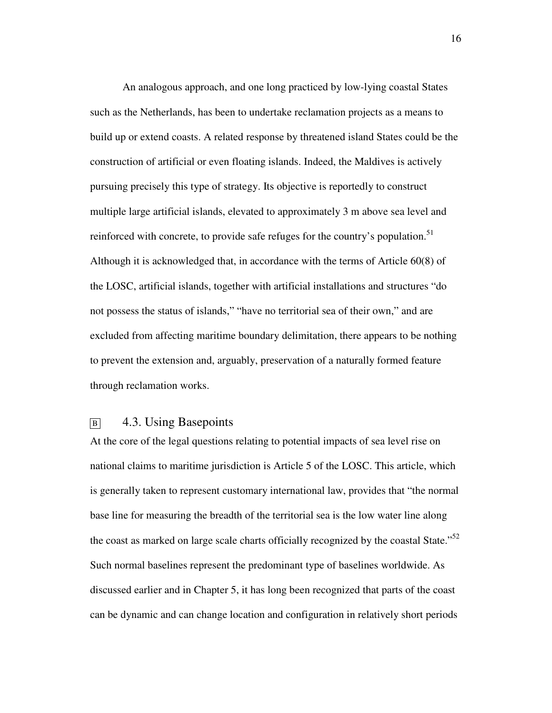An analogous approach, and one long practiced by low-lying coastal States such as the Netherlands, has been to undertake reclamation projects as a means to build up or extend coasts. A related response by threatened island States could be the construction of artificial or even floating islands. Indeed, the Maldives is actively pursuing precisely this type of strategy. Its objective is reportedly to construct multiple large artificial islands, elevated to approximately 3 m above sea level and reinforced with concrete, to provide safe refuges for the country's population.<sup>51</sup> Although it is acknowledged that, in accordance with the terms of Article 60(8) of the LOSC, artificial islands, together with artificial installations and structures "do not possess the status of islands," "have no territorial sea of their own," and are excluded from affecting maritime boundary delimitation, there appears to be nothing to prevent the extension and, arguably, preservation of a naturally formed feature through reclamation works.

## B<sub>B</sub> 4.3. Using Basepoints

At the core of the legal questions relating to potential impacts of sea level rise on national claims to maritime jurisdiction is Article 5 of the LOSC. This article, which is generally taken to represent customary international law, provides that "the normal base line for measuring the breadth of the territorial sea is the low water line along the coast as marked on large scale charts officially recognized by the coastal State."<sup>52</sup> Such normal baselines represent the predominant type of baselines worldwide. As discussed earlier and in Chapter 5, it has long been recognized that parts of the coast can be dynamic and can change location and configuration in relatively short periods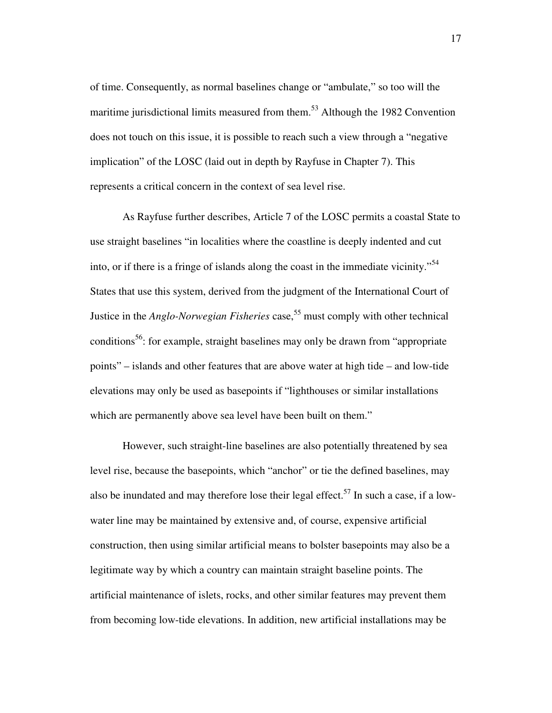of time. Consequently, as normal baselines change or "ambulate," so too will the maritime jurisdictional limits measured from them.<sup>53</sup> Although the 1982 Convention does not touch on this issue, it is possible to reach such a view through a "negative implication" of the LOSC (laid out in depth by Rayfuse in Chapter 7). This represents a critical concern in the context of sea level rise.

As Rayfuse further describes, Article 7 of the LOSC permits a coastal State to use straight baselines "in localities where the coastline is deeply indented and cut into, or if there is a fringe of islands along the coast in the immediate vicinity."<sup>54</sup> States that use this system, derived from the judgment of the International Court of Justice in the *Anglo-Norwegian Fisheries* case,<sup>55</sup> must comply with other technical conditions<sup>56</sup>: for example, straight baselines may only be drawn from "appropriate" points" – islands and other features that are above water at high tide – and low-tide elevations may only be used as basepoints if "lighthouses or similar installations which are permanently above sea level have been built on them."

However, such straight-line baselines are also potentially threatened by sea level rise, because the basepoints, which "anchor" or tie the defined baselines, may also be inundated and may therefore lose their legal effect.<sup>57</sup> In such a case, if a lowwater line may be maintained by extensive and, of course, expensive artificial construction, then using similar artificial means to bolster basepoints may also be a legitimate way by which a country can maintain straight baseline points. The artificial maintenance of islets, rocks, and other similar features may prevent them from becoming low-tide elevations. In addition, new artificial installations may be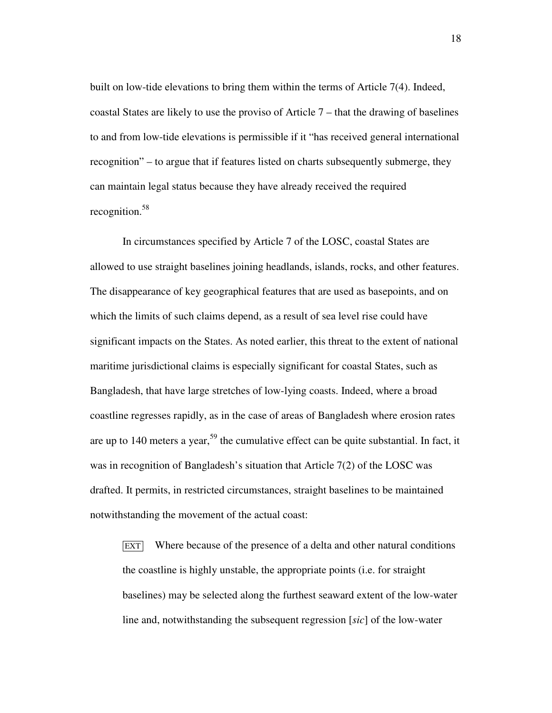built on low-tide elevations to bring them within the terms of Article 7(4). Indeed, coastal States are likely to use the proviso of Article 7 – that the drawing of baselines to and from low-tide elevations is permissible if it "has received general international recognition" – to argue that if features listed on charts subsequently submerge, they can maintain legal status because they have already received the required recognition.<sup>58</sup>

In circumstances specified by Article 7 of the LOSC, coastal States are allowed to use straight baselines joining headlands, islands, rocks, and other features. The disappearance of key geographical features that are used as basepoints, and on which the limits of such claims depend, as a result of sea level rise could have significant impacts on the States. As noted earlier, this threat to the extent of national maritime jurisdictional claims is especially significant for coastal States, such as Bangladesh, that have large stretches of low-lying coasts. Indeed, where a broad coastline regresses rapidly, as in the case of areas of Bangladesh where erosion rates are up to 140 meters a year,  $59$  the cumulative effect can be quite substantial. In fact, it was in recognition of Bangladesh's situation that Article 7(2) of the LOSC was drafted. It permits, in restricted circumstances, straight baselines to be maintained notwithstanding the movement of the actual coast:

 EXT Where because of the presence of a delta and other natural conditions the coastline is highly unstable, the appropriate points (i.e. for straight baselines) may be selected along the furthest seaward extent of the low-water line and, notwithstanding the subsequent regression [*sic*] of the low-water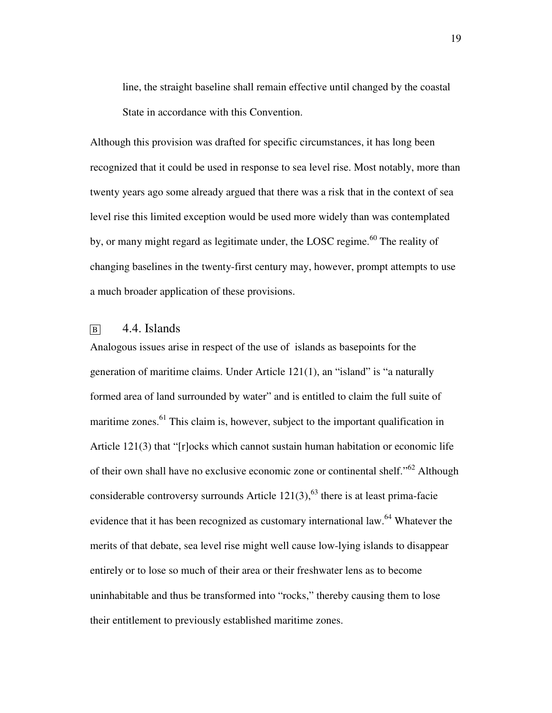line, the straight baseline shall remain effective until changed by the coastal State in accordance with this Convention.

Although this provision was drafted for specific circumstances, it has long been recognized that it could be used in response to sea level rise. Most notably, more than twenty years ago some already argued that there was a risk that in the context of sea level rise this limited exception would be used more widely than was contemplated by, or many might regard as legitimate under, the LOSC regime.<sup>60</sup> The reality of changing baselines in the twenty-first century may, however, prompt attempts to use a much broader application of these provisions.

## $\overline{B}$  4.4. Islands

Analogous issues arise in respect of the use of islands as basepoints for the generation of maritime claims. Under Article 121(1), an "island" is "a naturally formed area of land surrounded by water" and is entitled to claim the full suite of maritime zones. $61$  This claim is, however, subject to the important qualification in Article 121(3) that "[r]ocks which cannot sustain human habitation or economic life of their own shall have no exclusive economic zone or continental shelf."<sup>62</sup> Although considerable controversy surrounds Article  $121(3)$ ,  $^{63}$  there is at least prima-facie evidence that it has been recognized as customary international law.<sup>64</sup> Whatever the merits of that debate, sea level rise might well cause low-lying islands to disappear entirely or to lose so much of their area or their freshwater lens as to become uninhabitable and thus be transformed into "rocks," thereby causing them to lose their entitlement to previously established maritime zones.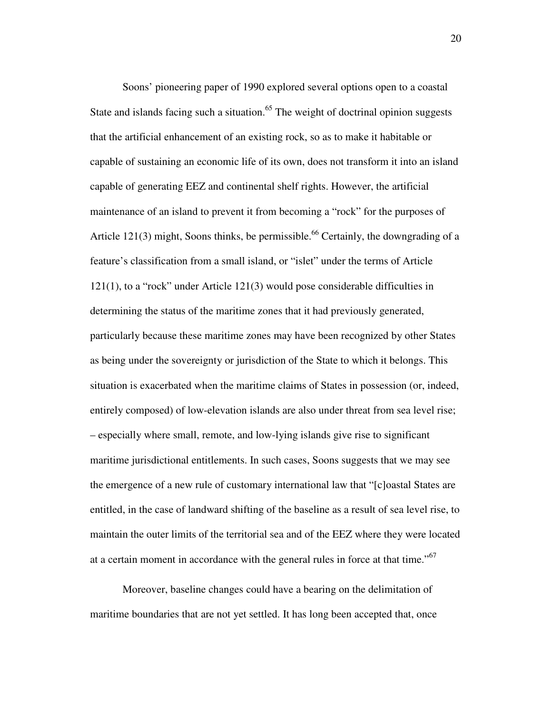Soons' pioneering paper of 1990 explored several options open to a coastal State and islands facing such a situation.<sup>65</sup> The weight of doctrinal opinion suggests that the artificial enhancement of an existing rock, so as to make it habitable or capable of sustaining an economic life of its own, does not transform it into an island capable of generating EEZ and continental shelf rights. However, the artificial maintenance of an island to prevent it from becoming a "rock" for the purposes of Article 121(3) might, Soons thinks, be permissible.<sup>66</sup> Certainly, the downgrading of a feature's classification from a small island, or "islet" under the terms of Article 121(1), to a "rock" under Article 121(3) would pose considerable difficulties in determining the status of the maritime zones that it had previously generated, particularly because these maritime zones may have been recognized by other States as being under the sovereignty or jurisdiction of the State to which it belongs. This situation is exacerbated when the maritime claims of States in possession (or, indeed, entirely composed) of low-elevation islands are also under threat from sea level rise; – especially where small, remote, and low-lying islands give rise to significant maritime jurisdictional entitlements. In such cases, Soons suggests that we may see the emergence of a new rule of customary international law that "[c]oastal States are entitled, in the case of landward shifting of the baseline as a result of sea level rise, to maintain the outer limits of the territorial sea and of the EEZ where they were located at a certain moment in accordance with the general rules in force at that time."<sup>67</sup>

Moreover, baseline changes could have a bearing on the delimitation of maritime boundaries that are not yet settled. It has long been accepted that, once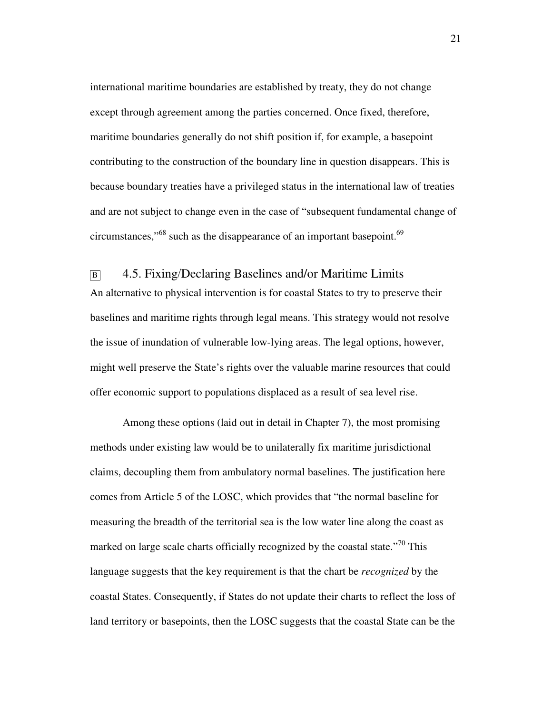international maritime boundaries are established by treaty, they do not change except through agreement among the parties concerned. Once fixed, therefore, maritime boundaries generally do not shift position if, for example, a basepoint contributing to the construction of the boundary line in question disappears. This is because boundary treaties have a privileged status in the international law of treaties and are not subject to change even in the case of "subsequent fundamental change of circumstances,"<sup>68</sup> such as the disappearance of an important basepoint.<sup>69</sup>

# <sup>B</sup>4.5. Fixing/Declaring Baselines and/or Maritime Limits An alternative to physical intervention is for coastal States to try to preserve their baselines and maritime rights through legal means. This strategy would not resolve the issue of inundation of vulnerable low-lying areas. The legal options, however, might well preserve the State's rights over the valuable marine resources that could offer economic support to populations displaced as a result of sea level rise.

Among these options (laid out in detail in Chapter 7), the most promising methods under existing law would be to unilaterally fix maritime jurisdictional claims, decoupling them from ambulatory normal baselines. The justification here comes from Article 5 of the LOSC, which provides that "the normal baseline for measuring the breadth of the territorial sea is the low water line along the coast as marked on large scale charts officially recognized by the coastal state. $170$  This language suggests that the key requirement is that the chart be *recognized* by the coastal States. Consequently, if States do not update their charts to reflect the loss of land territory or basepoints, then the LOSC suggests that the coastal State can be the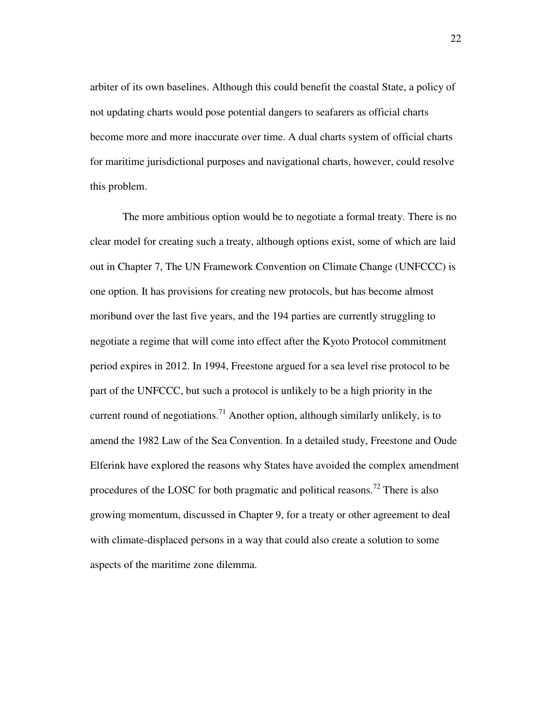arbiter of its own baselines. Although this could benefit the coastal State, a policy of not updating charts would pose potential dangers to seafarers as official charts become more and more inaccurate over time. A dual charts system of official charts for maritime jurisdictional purposes and navigational charts, however, could resolve this problem.

The more ambitious option would be to negotiate a formal treaty. There is no clear model for creating such a treaty, although options exist, some of which are laid out in Chapter 7, The UN Framework Convention on Climate Change (UNFCCC) is one option. It has provisions for creating new protocols, but has become almost moribund over the last five years, and the 194 parties are currently struggling to negotiate a regime that will come into effect after the Kyoto Protocol commitment period expires in 2012. In 1994, Freestone argued for a sea level rise protocol to be part of the UNFCCC, but such a protocol is unlikely to be a high priority in the current round of negotiations.<sup>71</sup> Another option, although similarly unlikely, is to amend the 1982 Law of the Sea Convention. In a detailed study, Freestone and Oude Elferink have explored the reasons why States have avoided the complex amendment procedures of the LOSC for both pragmatic and political reasons.<sup>72</sup> There is also growing momentum, discussed in Chapter 9, for a treaty or other agreement to deal with climate-displaced persons in a way that could also create a solution to some aspects of the maritime zone dilemma.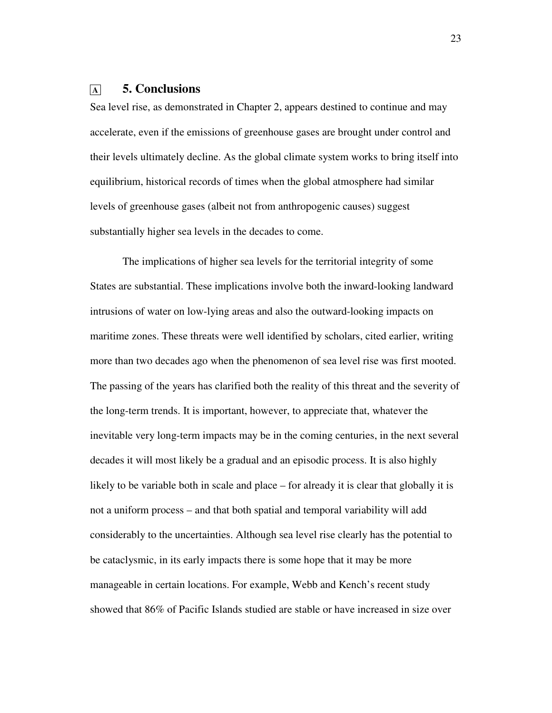## **<sup>A</sup>5. Conclusions**

Sea level rise, as demonstrated in Chapter 2, appears destined to continue and may accelerate, even if the emissions of greenhouse gases are brought under control and their levels ultimately decline. As the global climate system works to bring itself into equilibrium, historical records of times when the global atmosphere had similar levels of greenhouse gases (albeit not from anthropogenic causes) suggest substantially higher sea levels in the decades to come.

The implications of higher sea levels for the territorial integrity of some States are substantial. These implications involve both the inward-looking landward intrusions of water on low-lying areas and also the outward-looking impacts on maritime zones. These threats were well identified by scholars, cited earlier, writing more than two decades ago when the phenomenon of sea level rise was first mooted. The passing of the years has clarified both the reality of this threat and the severity of the long-term trends. It is important, however, to appreciate that, whatever the inevitable very long-term impacts may be in the coming centuries, in the next several decades it will most likely be a gradual and an episodic process. It is also highly likely to be variable both in scale and place – for already it is clear that globally it is not a uniform process – and that both spatial and temporal variability will add considerably to the uncertainties. Although sea level rise clearly has the potential to be cataclysmic, in its early impacts there is some hope that it may be more manageable in certain locations. For example, Webb and Kench's recent study showed that 86% of Pacific Islands studied are stable or have increased in size over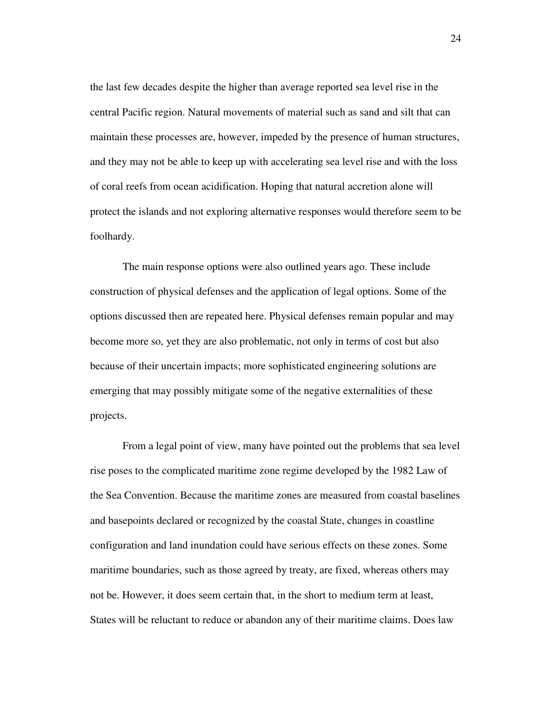the last few decades despite the higher than average reported sea level rise in the central Pacific region. Natural movements of material such as sand and silt that can maintain these processes are, however, impeded by the presence of human structures, and they may not be able to keep up with accelerating sea level rise and with the loss of coral reefs from ocean acidification. Hoping that natural accretion alone will protect the islands and not exploring alternative responses would therefore seem to be foolhardy.

The main response options were also outlined years ago. These include construction of physical defenses and the application of legal options. Some of the options discussed then are repeated here. Physical defenses remain popular and may become more so, yet they are also problematic, not only in terms of cost but also because of their uncertain impacts; more sophisticated engineering solutions are emerging that may possibly mitigate some of the negative externalities of these projects.

From a legal point of view, many have pointed out the problems that sea level rise poses to the complicated maritime zone regime developed by the 1982 Law of the Sea Convention. Because the maritime zones are measured from coastal baselines and basepoints declared or recognized by the coastal State, changes in coastline configuration and land inundation could have serious effects on these zones. Some maritime boundaries, such as those agreed by treaty, are fixed, whereas others may not be. However, it does seem certain that, in the short to medium term at least, States will be reluctant to reduce or abandon any of their maritime claims. Does law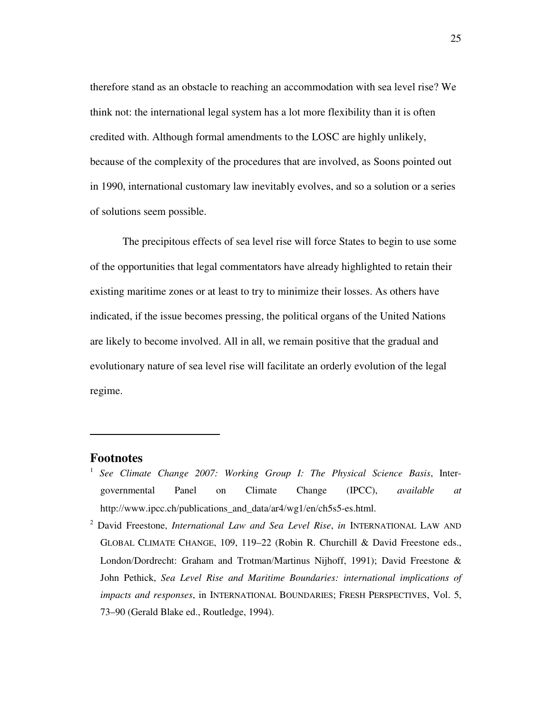therefore stand as an obstacle to reaching an accommodation with sea level rise? We think not: the international legal system has a lot more flexibility than it is often credited with. Although formal amendments to the LOSC are highly unlikely, because of the complexity of the procedures that are involved, as Soons pointed out in 1990, international customary law inevitably evolves, and so a solution or a series of solutions seem possible.

The precipitous effects of sea level rise will force States to begin to use some of the opportunities that legal commentators have already highlighted to retain their existing maritime zones or at least to try to minimize their losses. As others have indicated, if the issue becomes pressing, the political organs of the United Nations are likely to become involved. All in all, we remain positive that the gradual and evolutionary nature of sea level rise will facilitate an orderly evolution of the legal regime.

#### **Footnotes**

- 1 *See Climate Change 2007: Working Group I: The Physical Science Basis*, Intergovernmental Panel on Climate Change (IPCC), *available at* http://www.ipcc.ch/publications\_and\_data/ar4/wg1/en/ch5s5-es.html.
- 2 David Freestone, *International Law and Sea Level Rise*, *in* INTERNATIONAL LAW AND GLOBAL CLIMATE CHANGE, 109, 119–22 (Robin R. Churchill & David Freestone eds., London/Dordrecht: Graham and Trotman/Martinus Nijhoff, 1991); David Freestone & John Pethick, *Sea Level Rise and Maritime Boundaries: international implications of impacts and responses*, in INTERNATIONAL BOUNDARIES; FRESH PERSPECTIVES, Vol. 5, 73–90 (Gerald Blake ed., Routledge, 1994).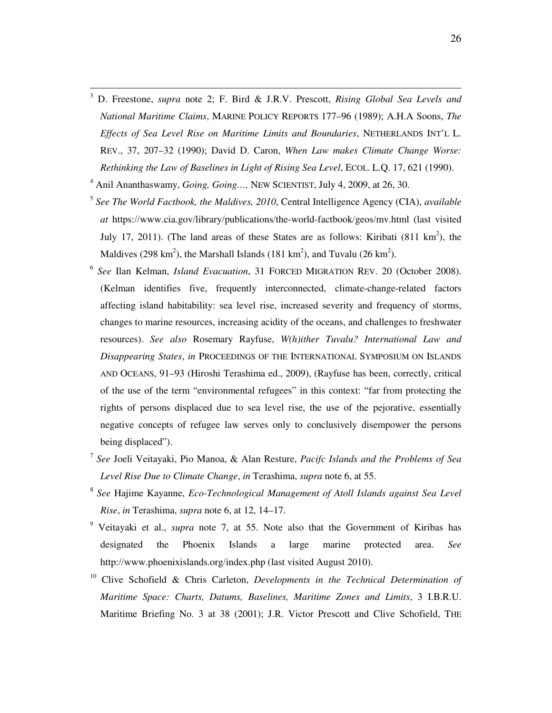- 3 D. Freestone, *supra* note 2; F. Bird & J.R.V. Prescott, *Rising Global Sea Levels and National Maritime Claims*, MARINE POLICY REPORTS 177–96 (1989); A.H.A Soons, *The Effects of Sea Level Rise on Maritime Limits and Boundaries*, NETHERLANDS INT'L L. REV., 37, 207–32 (1990); David D. Caron, *When Law makes Climate Change Worse: Rethinking the Law of Baselines in Light of Rising Sea Level*, ECOL. L.Q. 17, 621 (1990).
- 4 Anil Ananthaswamy, *Going, Going…,* NEW SCIENTIST, July 4, 2009, at 26, 30.

- 5 *See The World Factbook, the Maldives, 2010*, Central Intelligence Agency (CIA), *available at* https://www.cia.gov/library/publications/the-world-factbook/geos/mv.html (last visited July 17, 2011). (The land areas of these States are as follows: Kiribati  $(811 \text{ km}^2)$ , the Maldives (298 km<sup>2</sup>), the Marshall Islands (181 km<sup>2</sup>), and Tuvalu (26 km<sup>2</sup>).
- 6 *See* Ilan Kelman, *Island Evacuation*, 31 FORCED MIGRATION REV. 20 (October 2008). (Kelman identifies five, frequently interconnected, climate-change-related factors affecting island habitability: sea level rise, increased severity and frequency of storms, changes to marine resources, increasing acidity of the oceans, and challenges to freshwater resources). *See also* Rosemary Rayfuse, *W(h)ither Tuvalu? International Law and Disappearing States*, *in* PROCEEDINGS OF THE INTERNATIONAL SYMPOSIUM ON ISLANDS AND OCEANS, 91–93 (Hiroshi Terashima ed., 2009), (Rayfuse has been, correctly, critical of the use of the term "environmental refugees" in this context: "far from protecting the rights of persons displaced due to sea level rise, the use of the pejorative, essentially negative concepts of refugee law serves only to conclusively disempower the persons being displaced").
- 7 *See* Joeli Veitayaki, Pio Manoa, & Alan Resture, *Pacifc Islands and the Problems of Sea Level Rise Due to Climate Change*, *in* Terashima, *supra* note 6, at 55.
- 8 *See* Hajime Kayanne, *Eco-Technological Management of Atoll Islands against Sea Level Rise*, *in* Terashima, *supra* note 6, at 12, 14–17.
- 9 Veitayaki et al., *supra* note 7, at 55. Note also that the Government of Kiribas has designated the Phoenix Islands a large marine protected area. *See* http://www.phoenixislands.org/index.php (last visited August 2010).
- <sup>10</sup> Clive Schofield & Chris Carleton, *Developments in the Technical Determination of Maritime Space: Charts, Datums, Baselines, Maritime Zones and Limits*, 3 I.B.R.U. Maritime Briefing No. 3 at 38 (2001); J.R. Victor Prescott and Clive Schofield, THE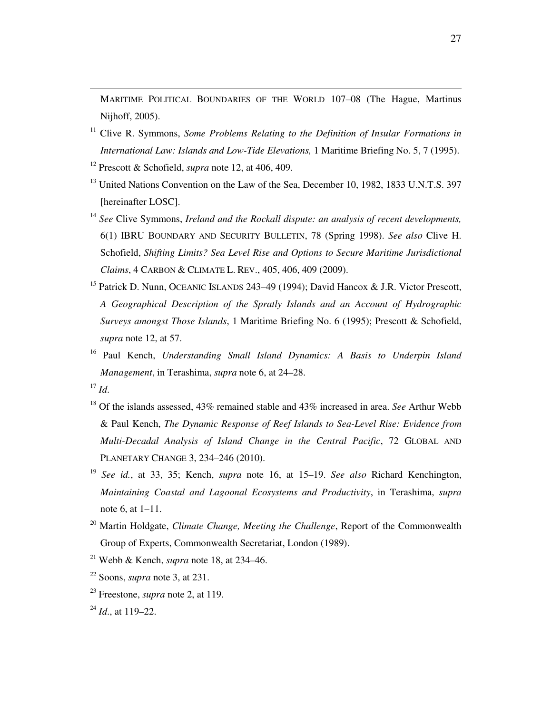MARITIME POLITICAL BOUNDARIES OF THE WORLD 107–08 (The Hague, Martinus Nijhoff, 2005).

- <sup>11</sup> Clive R. Symmons, *Some Problems Relating to the Definition of Insular Formations in International Law: Islands and Low-Tide Elevations,* 1 Maritime Briefing No. 5, 7 (1995).
- <sup>12</sup> Prescott & Schofield, *supra* note 12, at 406, 409.
- <sup>13</sup> United Nations Convention on the Law of the Sea, December 10, 1982, 1833 U.N.T.S. 397 [hereinafter LOSC].
- <sup>14</sup> *See* Clive Symmons, *Ireland and the Rockall dispute: an analysis of recent developments,* 6(1) IBRU BOUNDARY AND SECURITY BULLETIN, 78 (Spring 1998). *See also* Clive H. Schofield, *Shifting Limits? Sea Level Rise and Options to Secure Maritime Jurisdictional Claims*, 4 CARBON & CLIMATE L. REV., 405, 406, 409 (2009).
- <sup>15</sup> Patrick D. Nunn, OCEANIC ISLANDS 243–49 (1994); David Hancox & J.R. Victor Prescott, *A Geographical Description of the Spratly Islands and an Account of Hydrographic Surveys amongst Those Islands*, 1 Maritime Briefing No. 6 (1995); Prescott & Schofield, *supra* note 12, at 57.
- <sup>16</sup> Paul Kench, *Understanding Small Island Dynamics: A Basis to Underpin Island Management*, in Terashima, *supra* note 6, at 24–28.
- $17 \, Id.$

- <sup>18</sup> Of the islands assessed, 43% remained stable and 43% increased in area. *See* Arthur Webb & Paul Kench, *The Dynamic Response of Reef Islands to Sea-Level Rise: Evidence from Multi-Decadal Analysis of Island Change in the Central Pacific*, 72 GLOBAL AND PLANETARY CHANGE 3, 234–246 (2010).
- <sup>19</sup> *See id.*, at 33, 35; Kench, *supra* note 16, at 15–19. *See also* Richard Kenchington, *Maintaining Coastal and Lagoonal Ecosystems and Productivity*, in Terashima, *supra* note 6, at 1–11.
- <sup>20</sup> Martin Holdgate, *Climate Change, Meeting the Challenge*, Report of the Commonwealth Group of Experts, Commonwealth Secretariat, London (1989).
- <sup>21</sup> Webb & Kench, *supra* note 18, at 234–46.
- <sup>22</sup> Soons, *supra* note 3, at 231.
- <sup>23</sup> Freestone, *supra* note 2, at 119.

<sup>24</sup> *Id*., at 119–22.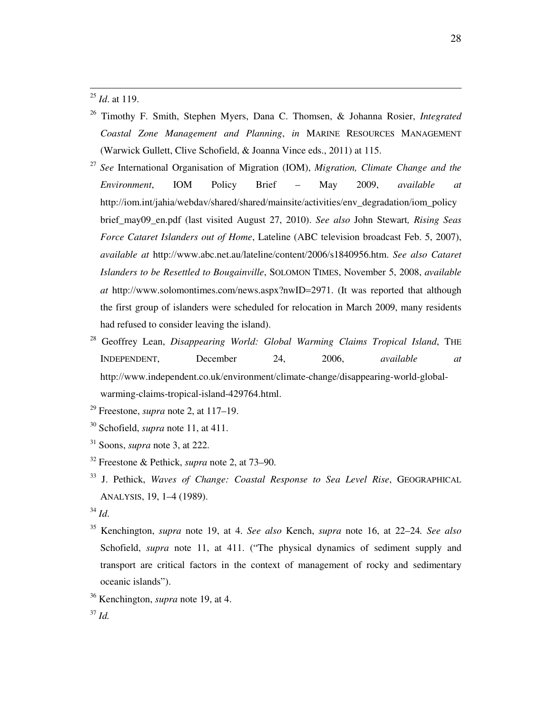<sup>25</sup> *Id*. at 119.

- <sup>26</sup> Timothy F. Smith, Stephen Myers, Dana C. Thomsen, & Johanna Rosier, *Integrated Coastal Zone Management and Planning*, *in* MARINE RESOURCES MANAGEMENT (Warwick Gullett, Clive Schofield, & Joanna Vince eds., 2011) at 115.
- <sup>27</sup> *See* International Organisation of Migration (IOM), *Migration, Climate Change and the Environment*, IOM Policy Brief – May 2009, *available at* http://iom.int/jahia/webdav/shared/shared/mainsite/activities/env\_degradation/iom\_policy brief\_may09\_en.pdf (last visited August 27, 2010). *See also* John Stewart*, Rising Seas Force Cataret Islanders out of Home*, Lateline (ABC television broadcast Feb. 5, 2007), *available at* http://www.abc.net.au/lateline/content/2006/s1840956.htm. *See also Cataret Islanders to be Resettled to Bougainville*, SOLOMON TIMES, November 5, 2008, *available at* http://www.solomontimes.com/news.aspx?nwID=2971. (It was reported that although the first group of islanders were scheduled for relocation in March 2009, many residents had refused to consider leaving the island).
- <sup>28</sup> Geoffrey Lean, *Disappearing World: Global Warming Claims Tropical Island*, THE INDEPENDENT, December 24, 2006, *available at* http://www.independent.co.uk/environment/climate-change/disappearing-world-globalwarming-claims-tropical-island-429764.html.
- <sup>29</sup> Freestone, *supra* note 2, at 117–19.
- <sup>30</sup> Schofield, *supra* note 11, at 411.
- <sup>31</sup> Soons, *supra* note 3, at 222.
- <sup>32</sup> Freestone & Pethick, *supra* note 2, at 73–90.
- <sup>33</sup> J. Pethick, *Waves of Change: Coastal Response to Sea Level Rise*, GEOGRAPHICAL ANALYSIS, 19, 1–4 (1989).
- <sup>34</sup> *Id*.
- <sup>35</sup> Kenchington, *supra* note 19, at 4. *See also* Kench, *supra* note 16, at 22–24*. See also* Schofield, *supra* note 11, at 411. ("The physical dynamics of sediment supply and transport are critical factors in the context of management of rocky and sedimentary oceanic islands").
- <sup>36</sup> Kenchington, *supra* note 19, at 4.

<sup>37</sup> *Id.*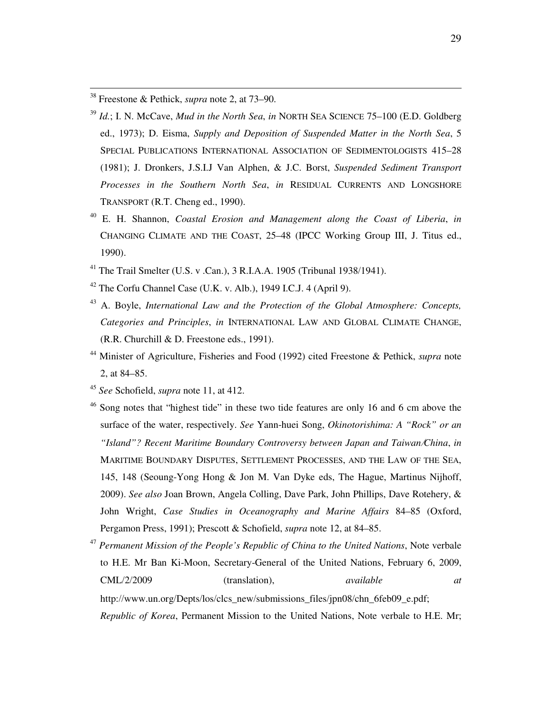<sup>38</sup> Freestone & Pethick, *supra* note 2, at 73–90.

- <sup>39</sup> *Id.*; I. N. McCave, *Mud in the North Sea*, *in* NORTH SEA SCIENCE 75–100 (E.D. Goldberg ed., 1973); D. Eisma, *Supply and Deposition of Suspended Matter in the North Sea*, 5 SPECIAL PUBLICATIONS INTERNATIONAL ASSOCIATION OF SEDIMENTOLOGISTS 415–28 (1981); J. Dronkers, J.S.I.J Van Alphen, & J.C. Borst, *Suspended Sediment Transport Processes in the Southern North Sea*, *in* RESIDUAL CURRENTS AND LONGSHORE TRANSPORT (R.T. Cheng ed., 1990).
- <sup>40</sup> E. H. Shannon, *Coastal Erosion and Management along the Coast of Liberia*, *in*  CHANGING CLIMATE AND THE COAST, 25–48 (IPCC Working Group III, J. Titus ed., 1990).
- <sup>41</sup> The Trail Smelter (U.S. v .Can.), 3 R.I.A.A. 1905 (Tribunal 1938/1941).
- $42$  The Corfu Channel Case (U.K. v. Alb.), 1949 I.C.J. 4 (April 9).
- <sup>43</sup> A. Boyle, *International Law and the Protection of the Global Atmosphere: Concepts, Categories and Principles*, *in* INTERNATIONAL LAW AND GLOBAL CLIMATE CHANGE, (R.R. Churchill & D. Freestone eds., 1991).
- <sup>44</sup> Minister of Agriculture, Fisheries and Food (1992) cited Freestone & Pethick, *supra* note 2, at 84–85.
- <sup>45</sup> *See* Schofield, *supra* note 11, at 412.
- Song notes that "highest tide" in these two tide features are only 16 and 6 cm above the surface of the water, respectively. *See* Yann-huei Song, *Okinotorishima: A "Rock" or an "Island"? Recent Maritime Boundary Controversy between Japan and Taiwan*/*China*, *in* MARITIME BOUNDARY DISPUTES, SETTLEMENT PROCESSES, AND THE LAW OF THE SEA, 145, 148 (Seoung-Yong Hong & Jon M. Van Dyke eds, The Hague, Martinus Nijhoff, 2009). *See also* Joan Brown, Angela Colling, Dave Park, John Phillips, Dave Rotehery, & John Wright, *Case Studies in Oceanography and Marine Affairs* 84–85 (Oxford, Pergamon Press, 1991); Prescott & Schofield, *supra* note 12, at 84–85.
- <sup>47</sup> *Permanent Mission of the People's Republic of China to the United Nations*, Note verbale to H.E. Mr Ban Ki-Moon, Secretary-General of the United Nations, February 6, 2009, CML/2/2009 (translation), *available at* http://www.un.org/Depts/los/clcs\_new/submissions\_files/jpn08/chn\_6feb09\_e.pdf; *Republic of Korea*, Permanent Mission to the United Nations, Note verbale to H.E. Mr;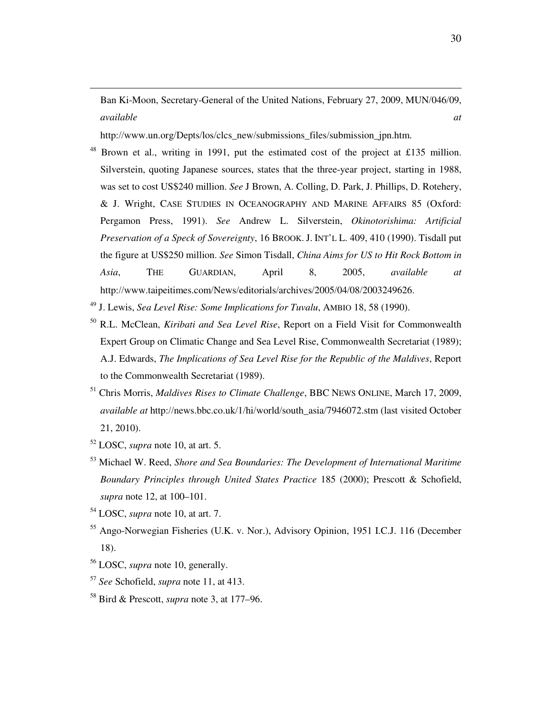Ban Ki-Moon, Secretary-General of the United Nations, February 27, 2009, MUN/046/09, *available at*

http://www.un.org/Depts/los/clcs\_new/submissions\_files/submission\_jpn.htm.

- <sup>48</sup> Brown et al., writing in 1991, put the estimated cost of the project at £135 million. Silverstein, quoting Japanese sources, states that the three-year project, starting in 1988, was set to cost US\$240 million. *See* J Brown, A. Colling, D. Park, J. Phillips, D. Rotehery, & J. Wright, CASE STUDIES IN OCEANOGRAPHY AND MARINE AFFAIRS 85 (Oxford: Pergamon Press, 1991). *See* Andrew L. Silverstein, *Okinotorishima: Artificial Preservation of a Speck of Sovereignty*, 16 BROOK. J. INT'L L. 409, 410 (1990). Tisdall put the figure at US\$250 million. *See* Simon Tisdall, *China Aims for US to Hit Rock Bottom in Asia*, THE GUARDIAN, April 8, 2005, *available at* http://www.taipeitimes.com/News/editorials/archives/2005/04/08/2003249626.
- <sup>49</sup> J. Lewis, *Sea Level Rise: Some Implications for Tuvalu*, AMBIO 18, 58 (1990).
- <sup>50</sup> R.L. McClean, *Kiribati and Sea Level Rise*, Report on a Field Visit for Commonwealth Expert Group on Climatic Change and Sea Level Rise, Commonwealth Secretariat (1989); A.J. Edwards, *The Implications of Sea Level Rise for the Republic of the Maldives*, Report to the Commonwealth Secretariat (1989).
- <sup>51</sup> Chris Morris, *Maldives Rises to Climate Challenge*, BBC NEWS ONLINE, March 17, 2009, *available at* http://news.bbc.co.uk/1/hi/world/south\_asia/7946072.stm (last visited October 21, 2010).
- <sup>52</sup> LOSC, *supra* note 10, at art. 5.

- <sup>53</sup> Michael W. Reed, *Shore and Sea Boundaries: The Development of International Maritime Boundary Principles through United States Practice* 185 (2000); Prescott & Schofield, *supra* note 12, at 100–101.
- <sup>54</sup> LOSC, *supra* note 10, at art. 7.
- <sup>55</sup> Ango-Norwegian Fisheries (U.K. v. Nor.), Advisory Opinion, 1951 I.C.J. 116 (December 18).
- <sup>56</sup> LOSC, *supra* note 10, generally.
- <sup>57</sup> *See* Schofield, *supra* note 11, at 413.
- <sup>58</sup> Bird & Prescott, *supra* note 3, at 177–96.